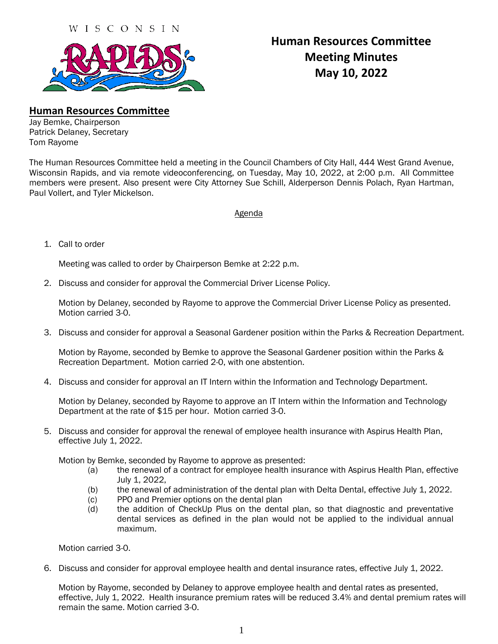

## **Human Resources Committee Meeting Minutes May 10, 2022**

**Human Resources Committee**

Jay Bemke, Chairperson Patrick Delaney, Secretary Tom Rayome

The Human Resources Committee held a meeting in the Council Chambers of City Hall, 444 West Grand Avenue, Wisconsin Rapids, and via remote videoconferencing, on Tuesday, May 10, 2022, at 2:00 p.m. All Committee members were present. Also present were City Attorney Sue Schill, Alderperson Dennis Polach, Ryan Hartman, Paul Vollert, and Tyler Mickelson.

## Agenda

1. Call to order

Meeting was called to order by Chairperson Bemke at 2:22 p.m.

2. Discuss and consider for approval the Commercial Driver License Policy.

Motion by Delaney, seconded by Rayome to approve the Commercial Driver License Policy as presented. Motion carried 3-0.

3. Discuss and consider for approval a Seasonal Gardener position within the Parks & Recreation Department.

Motion by Rayome, seconded by Bemke to approve the Seasonal Gardener position within the Parks & Recreation Department. Motion carried 2-0, with one abstention.

4. Discuss and consider for approval an IT Intern within the Information and Technology Department.

Motion by Delaney, seconded by Rayome to approve an IT Intern within the Information and Technology Department at the rate of \$15 per hour. Motion carried 3-0.

5. Discuss and consider for approval the renewal of employee health insurance with Aspirus Health Plan, effective July 1, 2022.

Motion by Bemke, seconded by Rayome to approve as presented:

- (a) the renewal of a contract for employee health insurance with Aspirus Health Plan, effective July 1, 2022,
- (b) the renewal of administration of the dental plan with Delta Dental, effective July 1, 2022.
- (c) PPO and Premier options on the dental plan
- (d) the addition of CheckUp Plus on the dental plan, so that diagnostic and preventative dental services as defined in the plan would not be applied to the individual annual maximum.

Motion carried 3-0.

6. Discuss and consider for approval employee health and dental insurance rates, effective July 1, 2022.

Motion by Rayome, seconded by Delaney to approve employee health and dental rates as presented, effective, July 1, 2022. Health insurance premium rates will be reduced 3.4% and dental premium rates will remain the same. Motion carried 3-0.